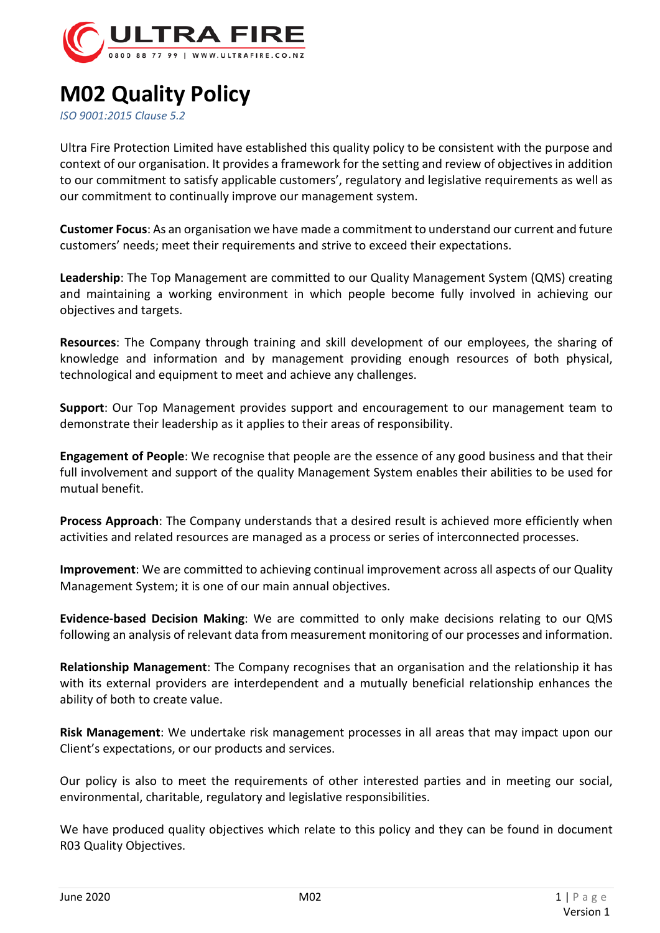

## **M02 Quality Policy**

*ISO 9001:2015 Clause 5.2*

Ultra Fire Protection Limited have established this quality policy to be consistent with the purpose and context of our organisation. It provides a framework for the setting and review of objectives in addition to our commitment to satisfy applicable customers', regulatory and legislative requirements as well as our commitment to continually improve our management system.

**Customer Focus**: As an organisation we have made a commitment to understand our current and future customers' needs; meet their requirements and strive to exceed their expectations.

**Leadership**: The Top Management are committed to our Quality Management System (QMS) creating and maintaining a working environment in which people become fully involved in achieving our objectives and targets.

**Resources**: The Company through training and skill development of our employees, the sharing of knowledge and information and by management providing enough resources of both physical, technological and equipment to meet and achieve any challenges.

**Support**: Our Top Management provides support and encouragement to our management team to demonstrate their leadership as it applies to their areas of responsibility.

**Engagement of People**: We recognise that people are the essence of any good business and that their full involvement and support of the quality Management System enables their abilities to be used for mutual benefit.

**Process Approach**: The Company understands that a desired result is achieved more efficiently when activities and related resources are managed as a process or series of interconnected processes.

**Improvement**: We are committed to achieving continual improvement across all aspects of our Quality Management System; it is one of our main annual objectives.

**Evidence-based Decision Making**: We are committed to only make decisions relating to our QMS following an analysis of relevant data from measurement monitoring of our processes and information.

**Relationship Management**: The Company recognises that an organisation and the relationship it has with its external providers are interdependent and a mutually beneficial relationship enhances the ability of both to create value.

**Risk Management**: We undertake risk management processes in all areas that may impact upon our Client's expectations, or our products and services.

Our policy is also to meet the requirements of other interested parties and in meeting our social, environmental, charitable, regulatory and legislative responsibilities.

We have produced quality objectives which relate to this policy and they can be found in document R03 Quality Objectives.